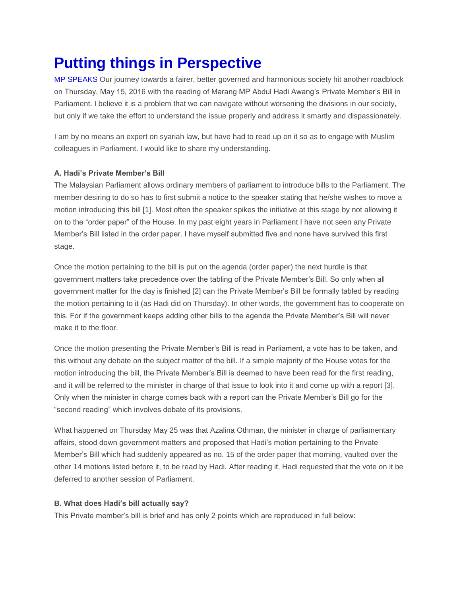# **Putting things in Perspective**

MP SPEAKS Our journey towards a fairer, better governed and harmonious society hit another roadblock on Thursday, May 15, 2016 with the reading of Marang MP Abdul Hadi Awang's Private Member's Bill in Parliament. I believe it is a problem that we can navigate without worsening the divisions in our society, but only if we take the effort to understand the issue properly and address it smartly and dispassionately.

I am by no means an expert on syariah law, but have had to read up on it so as to engage with Muslim colleagues in Parliament. I would like to share my understanding.

## **A. Hadi's Private Member's Bill**

The Malaysian Parliament allows ordinary members of parliament to introduce bills to the Parliament. The member desiring to do so has to first submit a notice to the speaker stating that he/she wishes to move a motion introducing this bill [1]. Most often the speaker spikes the initiative at this stage by not allowing it on to the "order paper" of the House. In my past eight years in Parliament I have not seen any Private Member's Bill listed in the order paper. I have myself submitted five and none have survived this first stage.

Once the motion pertaining to the bill is put on the agenda (order paper) the next hurdle is that government matters take precedence over the tabling of the Private Member's Bill. So only when all government matter for the day is finished [2] can the Private Member's Bill be formally tabled by reading the motion pertaining to it (as Hadi did on Thursday). In other words, the government has to cooperate on this. For if the government keeps adding other bills to the agenda the Private Member's Bill will never make it to the floor.

Once the motion presenting the Private Member's Bill is read in Parliament, a vote has to be taken, and this without any debate on the subject matter of the bill. If a simple majority of the House votes for the motion introducing the bill, the Private Member's Bill is deemed to have been read for the first reading, and it will be referred to the minister in charge of that issue to look into it and come up with a report [3]. Only when the minister in charge comes back with a report can the Private Member's Bill go for the "second reading" which involves debate of its provisions.

What happened on Thursday May 25 was that Azalina Othman, the minister in charge of parliamentary affairs, stood down government matters and proposed that Hadi's motion pertaining to the Private Member's Bill which had suddenly appeared as no. 15 of the order paper that morning, vaulted over the other 14 motions listed before it, to be read by Hadi. After reading it, Hadi requested that the vote on it be deferred to another session of Parliament.

## **B. What does Hadi's bill actually say?**

This Private member's bill is brief and has only 2 points which are reproduced in full below: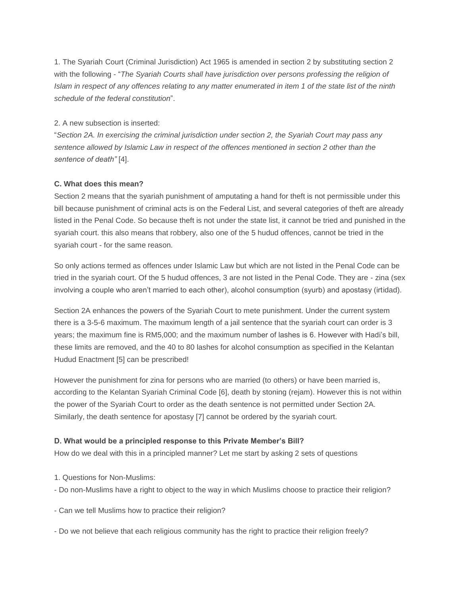1. The Syariah Court (Criminal Jurisdiction) Act 1965 is amended in section 2 by substituting section 2 with the following - "*The Syariah Courts shall have jurisdiction over persons professing the religion of Islam in respect of any offences relating to any matter enumerated in item 1 of the state list of the ninth schedule of the federal constitution*".

#### 2. A new subsection is inserted:

"*Section 2A. In exercising the criminal jurisdiction under section 2, the Syariah Court may pass any sentence allowed by Islamic Law in respect of the offences mentioned in section 2 other than the sentence of death"* [4].

## **C. What does this mean?**

Section 2 means that the syariah punishment of amputating a hand for theft is not permissible under this bill because punishment of criminal acts is on the Federal List, and several categories of theft are already listed in the Penal Code. So because theft is not under the state list, it cannot be tried and punished in the syariah court. this also means that robbery, also one of the 5 hudud offences, cannot be tried in the syariah court - for the same reason.

So only actions termed as offences under Islamic Law but which are not listed in the Penal Code can be tried in the syariah court. Of the 5 hudud offences, 3 are not listed in the Penal Code. They are - zina (sex involving a couple who aren't married to each other), alcohol consumption (syurb) and apostasy (irtidad).

Section 2A enhances the powers of the Syariah Court to mete punishment. Under the current system there is a 3-5-6 maximum. The maximum length of a jail sentence that the syariah court can order is 3 years; the maximum fine is RM5,000; and the maximum number of lashes is 6. However with Hadi's bill, these limits are removed, and the 40 to 80 lashes for alcohol consumption as specified in the Kelantan Hudud Enactment [5] can be prescribed!

However the punishment for zina for persons who are married (to others) or have been married is, according to the Kelantan Syariah Criminal Code [6], death by stoning (rejam). However this is not within the power of the Syariah Court to order as the death sentence is not permitted under Section 2A. Similarly, the death sentence for apostasy [7] cannot be ordered by the syariah court.

## **D. What would be a principled response to this Private Member's Bill?**

How do we deal with this in a principled manner? Let me start by asking 2 sets of questions

- 1. Questions for Non-Muslims:
- Do non-Muslims have a right to object to the way in which Muslims choose to practice their religion?
- Can we tell Muslims how to practice their religion?
- Do we not believe that each religious community has the right to practice their religion freely?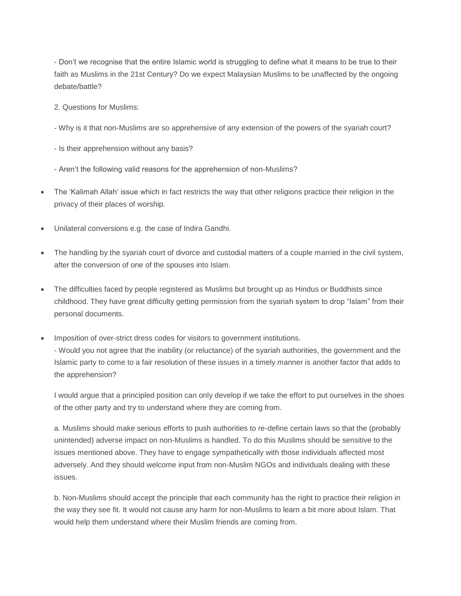- Don't we recognise that the entire Islamic world is struggling to define what it means to be true to their faith as Muslims in the 21st Century? Do we expect Malaysian Muslims to be unaffected by the ongoing debate/battle?

2. Questions for Muslims:

- Why is it that non-Muslims are so apprehensive of any extension of the powers of the syariah court?

- Is their apprehension without any basis?
- Aren't the following valid reasons for the apprehension of non-Muslims?
- The 'Kalimah Allah' issue which in fact restricts the way that other religions practice their religion in the privacy of their places of worship.
- Unilateral conversions e.g. the case of Indira Gandhi.
- The handling by the syariah court of divorce and custodial matters of a couple married in the civil system, after the conversion of one of the spouses into Islam.
- The difficulties faced by people registered as Muslims but brought up as Hindus or Buddhists since childhood. They have great difficulty getting permission from the syariah system to drop "Islam" from their personal documents.
- Imposition of over-strict dress codes for visitors to government institutions. - Would you not agree that the inability (or reluctance) of the syariah authorities, the government and the Islamic party to come to a fair resolution of these issues in a timely manner is another factor that adds to the apprehension?

I would argue that a principled position can only develop if we take the effort to put ourselves in the shoes of the other party and try to understand where they are coming from.

a. Muslims should make serious efforts to push authorities to re-define certain laws so that the (probably unintended) adverse impact on non-Muslims is handled. To do this Muslims should be sensitive to the issues mentioned above. They have to engage sympathetically with those individuals affected most adversely. And they should welcome input from non-Muslim NGOs and individuals dealing with these issues.

b. Non-Muslims should accept the principle that each community has the right to practice their religion in the way they see fit. It would not cause any harm for non-Muslims to learn a bit more about Islam. That would help them understand where their Muslim friends are coming from.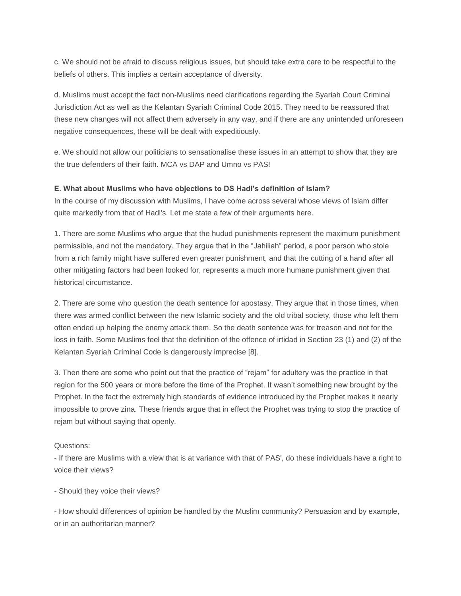c. We should not be afraid to discuss religious issues, but should take extra care to be respectful to the beliefs of others. This implies a certain acceptance of diversity.

d. Muslims must accept the fact non-Muslims need clarifications regarding the Syariah Court Criminal Jurisdiction Act as well as the Kelantan Syariah Criminal Code 2015. They need to be reassured that these new changes will not affect them adversely in any way, and if there are any unintended unforeseen negative consequences, these will be dealt with expeditiously.

e. We should not allow our politicians to sensationalise these issues in an attempt to show that they are the true defenders of their faith. MCA vs DAP and Umno vs PAS!

## **E. What about Muslims who have objections to DS Hadi's definition of Islam?**

In the course of my discussion with Muslims, I have come across several whose views of Islam differ quite markedly from that of Hadi's. Let me state a few of their arguments here.

1. There are some Muslims who argue that the hudud punishments represent the maximum punishment permissible, and not the mandatory. They argue that in the "Jahiliah" period, a poor person who stole from a rich family might have suffered even greater punishment, and that the cutting of a hand after all other mitigating factors had been looked for, represents a much more humane punishment given that historical circumstance.

2. There are some who question the death sentence for apostasy. They argue that in those times, when there was armed conflict between the new Islamic society and the old tribal society, those who left them often ended up helping the enemy attack them. So the death sentence was for treason and not for the loss in faith. Some Muslims feel that the definition of the offence of irtidad in Section 23 (1) and (2) of the Kelantan Syariah Criminal Code is dangerously imprecise [8].

3. Then there are some who point out that the practice of "rejam" for adultery was the practice in that region for the 500 years or more before the time of the Prophet. It wasn't something new brought by the Prophet. In the fact the extremely high standards of evidence introduced by the Prophet makes it nearly impossible to prove zina. These friends argue that in effect the Prophet was trying to stop the practice of rejam but without saying that openly.

Questions:

- If there are Muslims with a view that is at variance with that of PAS', do these individuals have a right to voice their views?

- Should they voice their views?

- How should differences of opinion be handled by the Muslim community? Persuasion and by example, or in an authoritarian manner?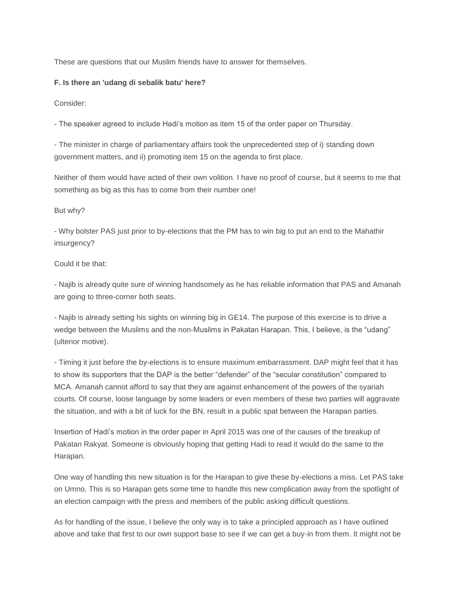These are questions that our Muslim friends have to answer for themselves.

#### **F. Is there an 'udang di sebalik batu' here?**

Consider:

- The speaker agreed to include Hadi's motion as item 15 of the order paper on Thursday.

- The minister in charge of parliamentary affairs took the unprecedented step of i) standing down government matters, and ii) promoting item 15 on the agenda to first place.

Neither of them would have acted of their own volition. I have no proof of course, but it seems to me that something as big as this has to come from their number one!

But why?

- Why bolster PAS just prior to by-elections that the PM has to win big to put an end to the Mahathir insurgency?

#### Could it be that:

- Najib is already quite sure of winning handsomely as he has reliable information that PAS and Amanah are going to three-corner both seats.

- Najib is already setting his sights on winning big in GE14. The purpose of this exercise is to drive a wedge between the Muslims and the non-Muslims in Pakatan Harapan. This, I believe, is the "udang" (ulterior motive).

- Timing it just before the by-elections is to ensure maximum embarrassment. DAP might feel that it has to show its supporters that the DAP is the better "defender" of the "secular constitution" compared to MCA. Amanah cannot afford to say that they are against enhancement of the powers of the syariah courts. Of course, loose language by some leaders or even members of these two parties will aggravate the situation, and with a bit of luck for the BN, result in a public spat between the Harapan parties.

Insertion of Hadi's motion in the order paper in April 2015 was one of the causes of the breakup of Pakatan Rakyat. Someone is obviously hoping that getting Hadi to read it would do the same to the Harapan.

One way of handling this new situation is for the Harapan to give these by-elections a miss. Let PAS take on Umno. This is so Harapan gets some time to handle this new complication away from the spotlight of an election campaign with the press and members of the public asking difficult questions.

As for handling of the issue, I believe the only way is to take a principled approach as I have outlined above and take that first to our own support base to see if we can get a buy-in from them. It might not be